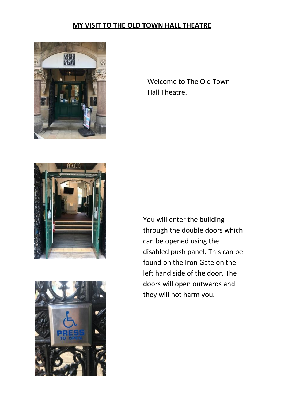## **MY VISIT TO THE OLD TOWN HALL THEATRE**



Welcome to The Old Town Hall Theatre.





You will enter the building through the double doors which can be opened using the disabled push panel. This can be found on the Iron Gate on the left hand side of the door. The doors will open outwards and they will not harm you.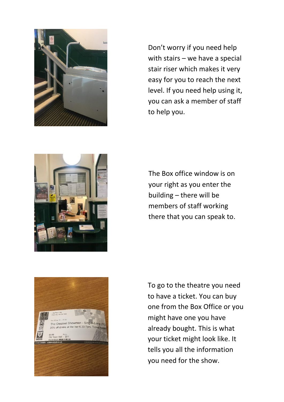

Don't worry if you need help with stairs – we have a special stair riser which makes it very easy for you to reach the next level. If you need help using it, you can ask a member of staff to help you.



The Box office window is on your right as you enter the building – there will be members of staff working there that you can speak to.



To go to the theatre you need to have a ticket. You can buy one from the Box Office or you might have one you have already bought. This is what your ticket might look like. It tells you all the information you need for the show.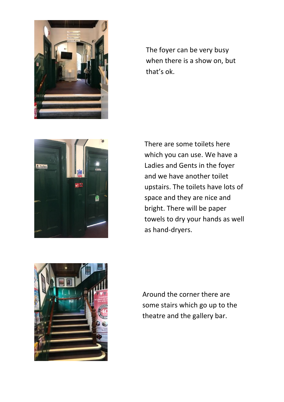

The foyer can be very busy when there is a show on, but that's ok.







Around the corner there are some stairs which go up to the theatre and the gallery bar.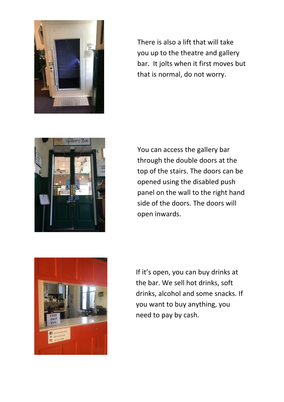

There is also a lift that will take you up to the theatre and gallery bar. It jolts when it first moves but that is normal, do not worry.



You can access the gallery bar through the double doors at the top of the stairs. The doors can be opened using the disabled push panel on the wall to the right hand side of the doors. The doors will open inwards.



If it's open, you can buy drinks at the bar. We sell hot drinks, soft drinks, alcohol and some snacks. If you want to buy anything, you need to pay by cash.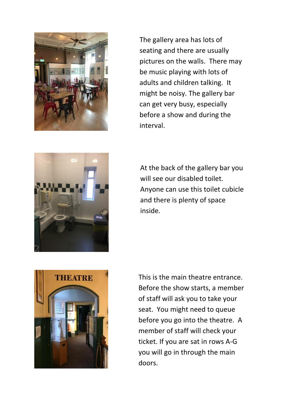





At the back of the gallery bar you will see our disabled toilet. Anyone can use this toilet cubicle and there is plenty of space inside.



This is the main theatre entrance. Before the show starts, a member of staff will ask you to take your seat. You might need to queue before you go into the theatre. A member of staff will check your ticket. If you are sat in rows A-G you will go in through the main doors.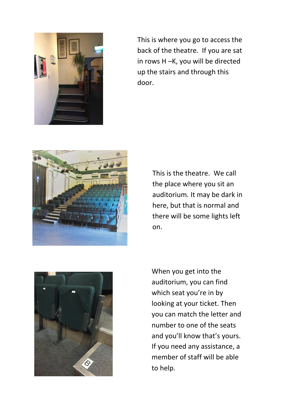

This is where you go to access the back of the theatre. If you are sat in rows H –K, you will be directed up the stairs and through this door.



This is the theatre. We call the place where you sit an auditorium. It may be dark in here, but that is normal and there will be some lights left on.



When you get into the auditorium, you can find which seat you're in by looking at your ticket. Then you can match the letter and number to one of the seats and you'll know that's yours. If you need any assistance, a member of staff will be able to help.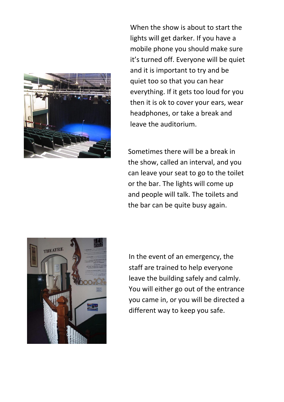

When the show is about to start the lights will get darker. If you have a mobile phone you should make sure it's turned off. Everyone will be quiet and it is important to try and be quiet too so that you can hear everything. If it gets too loud for you then it is ok to cover your ears, wear headphones, or take a break and leave the auditorium.

Sometimes there will be a break in the show, called an interval, and you can leave your seat to go to the toilet or the bar. The lights will come up and people will talk. The toilets and the bar can be quite busy again.



In the event of an emergency, the staff are trained to help everyone leave the building safely and calmly. You will either go out of the entrance you came in, or you will be directed a different way to keep you safe.